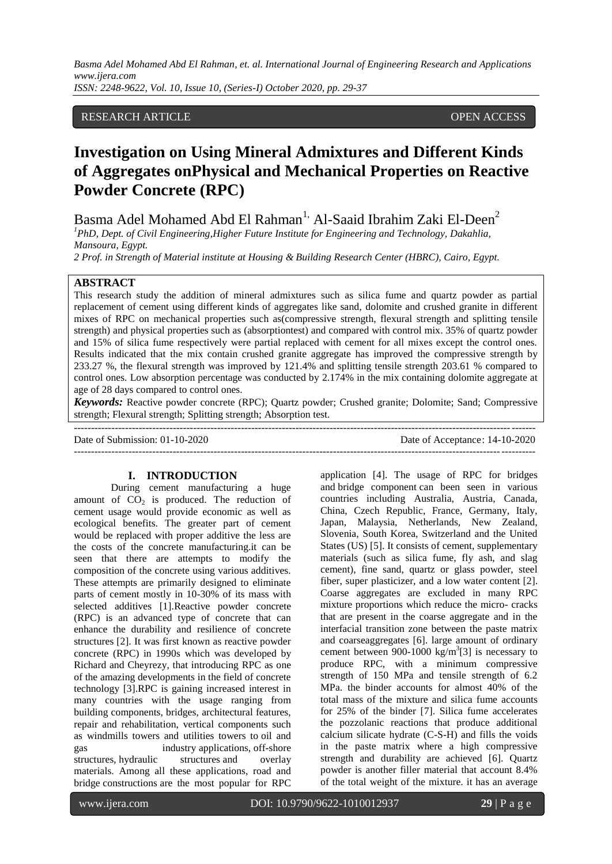*ISSN: 2248-9622, Vol. 10, Issue 10, (Series-I) October 2020, pp. 29-37*

# RESEARCH ARTICLE OPEN ACCESS

# **Investigation on Using Mineral Admixtures and Different Kinds of Aggregates onPhysical and Mechanical Properties on Reactive Powder Concrete (RPC)**

Basma Adel Mohamed Abd El Rahman<sup>1,</sup> Al-Saaid Ibrahim Zaki El-Deen<sup>2</sup>

*<sup>1</sup>PhD*, *Dept. of Civil Engineering*,*Higher Future Institute for Engineering and Technology, Dakahlia, Mansoura, Egypt.*

*2 Prof. in Strength of Material institute at Housing & Building Research Center (HBRC), Cairo, Egypt.*

# **ABSTRACT**

This research study the addition of mineral admixtures such as silica fume and quartz powder as partial replacement of cement using different kinds of aggregates like sand, dolomite and crushed granite in different mixes of RPC on mechanical properties such as(compressive strength, flexural strength and splitting tensile strength) and physical properties such as (absorptiontest) and compared with control mix. 35% of quartz powder and 15% of silica fume respectively were partial replaced with cement for all mixes except the control ones. Results indicated that the mix contain crushed granite aggregate has improved the compressive strength by 233.27 %, the flexural strength was improved by 121.4% and splitting tensile strength 203.61 % compared to control ones. Low absorption percentage was conducted by 2.174% in the mix containing dolomite aggregate at age of 28 days compared to control ones.

*Keywords:* Reactive powder concrete (RPC); Quartz powder; Crushed granite; Dolomite; Sand; Compressive strength; Flexural strength; Splitting strength; Absorption test.  $-+++++++++$ 

Date of Submission: 01-10-2020 Date of Acceptance: 14-10-2020  $-1\leq i\leq n-1\leq n-1\leq n-1\leq n-1\leq n-1\leq n-1\leq n-1\leq n-1\leq n-1\leq n-1\leq n-1\leq n-1\leq n-1\leq n-1\leq n-1\leq n-1\leq n-1\leq n-1\leq n-1\leq n-1\leq n-1\leq n-1\leq n-1\leq n-1\leq n-1\leq n-1\leq n-1\leq n-1\leq n-1\leq n-1\leq n-1\leq n-1\leq n-1\leq n-1\leq n-1\leq n$ 

#### **I. INTRODUCTION**

During cement manufacturing a huge amount of  $CO<sub>2</sub>$  is produced. The reduction of cement usage would provide economic as well as ecological benefits. The greater part of cement would be replaced with proper additive the less are the costs of the concrete manufacturing.it can be seen that there are attempts to modify the composition of the concrete using various additives. These attempts are primarily designed to eliminate parts of cement mostly in 10-30% of its mass with selected additives [1].Reactive powder concrete (RPC) is an advanced type of concrete that can enhance the durability and resilience of concrete structures [2]. It was first known as reactive powder concrete (RPC) in 1990s which was developed by Richard and Cheyrezy, that introducing RPC as one of the amazing developments in the field of concrete technology [3].RPC is gaining increased interest in many countries with the usage ranging from building components, bridges, architectural features, repair and rehabilitation, vertical components such as windmills towers and utilities towers to oil and gas industry applications, off-shore structures, hydraulic structures and overlay materials. Among all these applications, road and bridge constructions are the most popular for RPC

application [4]. The usage of RPC for bridges and bridge component can been seen in various countries including Australia, Austria, Canada, China, Czech Republic, France, Germany, Italy, Japan, Malaysia, Netherlands, New Zealand, Slovenia, South Korea, Switzerland and the United States (US) [5]. It consists of cement, supplementary materials (such as silica fume, fly ash, and slag cement), fine sand, quartz or glass powder, steel fiber, super plasticizer, and a low water content [2]. Coarse aggregates are excluded in many RPC mixture proportions which reduce the micro- cracks that are present in the coarse aggregate and in the interfacial transition zone between the paste matrix and coarseaggregates [6]. large amount of ordinary cement between 900-1000  $\text{kg/m}^3$ [3] is necessary to produce RPC, with a minimum compressive strength of 150 MPa and tensile strength of 6.2 MPa. the binder accounts for almost 40% of the total mass of the mixture and silica fume accounts for 25% of the binder [7]. Silica fume accelerates the pozzolanic reactions that produce additional calcium silicate hydrate (C-S-H) and fills the voids in the paste matrix where a high compressive strength and durability are achieved [6]. Quartz powder is another filler material that account 8.4% of the total weight of the mixture. it has an average

www.ijera.com DOI: 10.9790/9622-1010012937 **29** | P a g e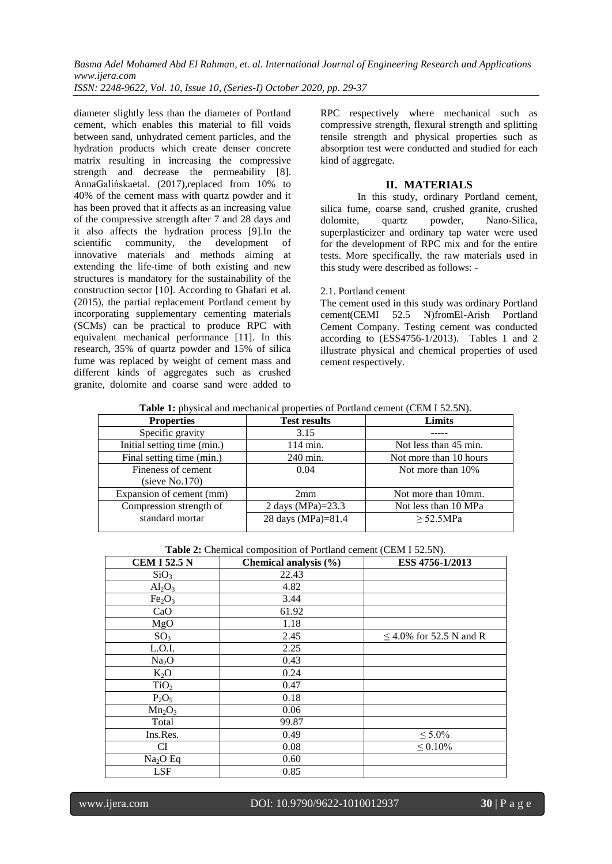*ISSN: 2248-9622, Vol. 10, Issue 10, (Series-I) October 2020, pp. 29-37*

diameter slightly less than the diameter of Portland cement, which enables this material to fill voids between sand, unhydrated cement particles, and the hydration products which create denser concrete matrix resulting in increasing the compressive strength and decrease the permeability [8]. AnnaGalińskaetal. (2017),replaced from 10% to 40% of the cement mass with quartz powder and it has been proved that it affects as an increasing value of the compressive strength after 7 and 28 days and it also affects the hydration process [9].In the scientific community, the innovative materials and methods aiming at extending the life-time of both existing and new structures is mandatory for the sustainability of the construction sector [10]. According to Ghafari et al. (2015), the partial replacement Portland cement by incorporating supplementary cementing materials (SCMs) can be practical to produce RPC with equivalent mechanical performance [11]. In this research, 35% of quartz powder and 15% of silica fume was replaced by weight of cement mass and different kinds of aggregates such as crushed granite, dolomite and coarse sand were added to RPC respectively where mechanical such as compressive strength, flexural strength and splitting tensile strength and physical properties such as absorption test were conducted and studied for each kind of aggregate.

#### **II. MATERIALS**

In this study, ordinary Portland cement, silica fume, coarse sand, crushed granite, crushed dolomite, quartz powder, Nano-Silica, superplasticizer and ordinary tap water were used for the development of RPC mix and for the entire tests. More specifically, the raw materials used in this study were described as follows: -

# 2.1. Portland cement

The cement used in this study was ordinary Portland cement(CEMI 52.5 N)fromEl-Arish Portland Cement Company. Testing cement was conducted according to (ESS4756-1/2013). Tables 1 and 2 illustrate physical and chemical properties of used cement respectively.

|--|

| <b>Properties</b>           | <b>Test results</b>  | Limits                 |
|-----------------------------|----------------------|------------------------|
| Specific gravity            | 3.15                 |                        |
| Initial setting time (min.) | 114 min.             | Not less than 45 min.  |
| Final setting time (min.)   | 240 min.             | Not more than 10 hours |
| Fineness of cement          | 0.04                 | Not more than 10%      |
| (sieve $No.170$ )           |                      |                        |
| Expansion of cement (mm)    | 2mm                  | Not more than 10mm.    |
| Compression strength of     | 2 days (MPa)= $23.3$ | Not less than 10 MPa   |
| standard mortar             | 28 days (MPa)=81.4   | > 52.5MPa              |
|                             |                      |                        |

**Table 2:** Chemical composition of Portland cement (CEM I 52.5N).

| <b>CEM I 52.5 N</b>            | Chemical analysis (%) | ESS 4756-1/2013              |
|--------------------------------|-----------------------|------------------------------|
| SiO <sub>3</sub>               | 22.43                 |                              |
| $Al_2O_3$                      | 4.82                  |                              |
| Fe <sub>2</sub> O <sub>3</sub> | 3.44                  |                              |
| CaO                            | 61.92                 |                              |
| MgO                            | 1.18                  |                              |
| SO <sub>3</sub>                | 2.45                  | $\leq$ 4.0% for 52.5 N and R |
| L.O.I.                         | 2.25                  |                              |
| Na <sub>2</sub> O              | 0.43                  |                              |
| $K_2O$                         | 0.24                  |                              |
| TiO <sub>2</sub>               | 0.47                  |                              |
| $P_2O_5$                       | 0.18                  |                              |
| $Mn_2O_3$                      | 0.06                  |                              |
| Total                          | 99.87                 |                              |
| Ins.Res.                       | 0.49                  | $\leq 5.0\%$                 |
| CI                             | 0.08                  | $\leq 0.10\%$                |
| $Na2O$ Eq                      | 0.60                  |                              |
| <b>LSF</b>                     | 0.85                  |                              |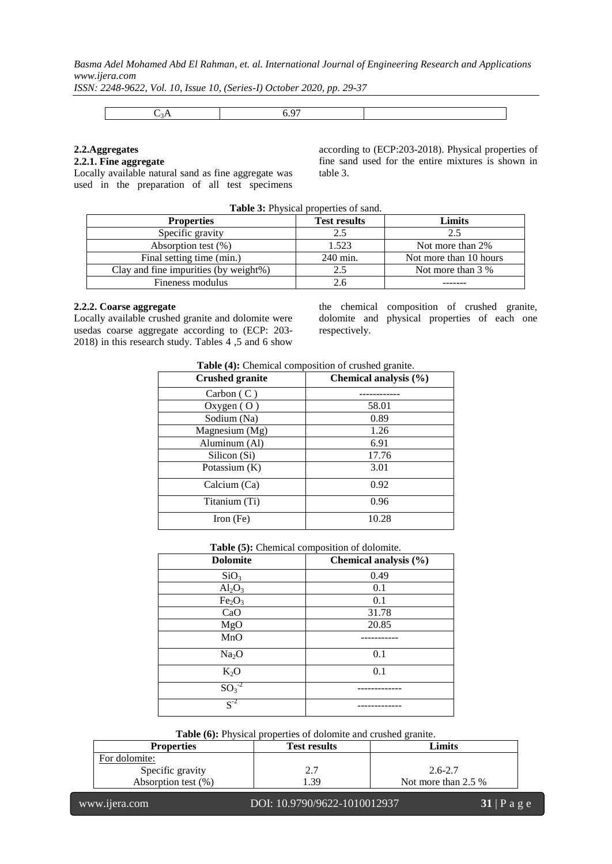*ISSN: 2248-9622, Vol. 10, Issue 10, (Series-I) October 2020, pp. 29-37*

|--|--|--|--|

# **2.2.Aggregates**

**2.2.1. Fine aggregate**

Locally available natural sand as fine aggregate was used in the preparation of all test specimens according to (ECP:203-2018). Physical properties of fine sand used for the entire mixtures is shown in table 3.

| <b>Table 3:</b> Physical properties of sand. |                     |                        |  |  |
|----------------------------------------------|---------------------|------------------------|--|--|
| <b>Properties</b>                            | <b>Test results</b> | Limits                 |  |  |
| Specific gravity                             | 2.5                 | 2.5                    |  |  |
| Absorption test $(\%)$                       | 1.523               | Not more than 2%       |  |  |
| Final setting time (min.)                    | 240 min.            | Not more than 10 hours |  |  |
| Clay and fine impurities (by weight%)        | 2.5                 | Not more than 3 %      |  |  |
| Fineness modulus                             |                     |                        |  |  |

#### **2.2.2. Coarse aggregate**

Locally available crushed granite and dolomite were usedas coarse aggregate according to (ECP: 203- 2018) in this research study. Tables 4 ,5 and 6 show

the chemical composition of crushed granite, dolomite and physical properties of each one respectively.

| Table (4): Chemical composition of crushed granite. |  |  |  |  |
|-----------------------------------------------------|--|--|--|--|
|-----------------------------------------------------|--|--|--|--|

| <b>Crushed granite</b> | Chemical analysis (%) |
|------------------------|-----------------------|
| Carbon (C)             |                       |
| Oxygen $(0)$           | 58.01                 |
| Sodium (Na)            | 0.89                  |
| Magnesium (Mg)         | 1.26                  |
| Aluminum (Al)          | 6.91                  |
| Silicon (Si)           | 17.76                 |
| Potassium (K)          | 3.01                  |
| Calcium (Ca)           | 0.92                  |
| Titanium (Ti)          | 0.96                  |
| Iron $(Fe)$            | 10.28                 |

| Table (5): Chemical composition of dolomite. |  |
|----------------------------------------------|--|
|----------------------------------------------|--|

| <b>Dolomite</b>                | л.<br>Chemical analysis (%) |
|--------------------------------|-----------------------------|
| SiO <sub>3</sub>               | 0.49                        |
| $Al_2O_3$                      | 0.1                         |
| Fe <sub>2</sub> O <sub>3</sub> | 0.1                         |
| CaO                            | 31.78                       |
| MgO                            | 20.85                       |
| MnO                            |                             |
| Na <sub>2</sub> O              | 0.1                         |
| $K_2O$                         | 0.1                         |
| $\mathrm{SO_3}^{2}$            |                             |
| $S^{-2}$                       |                             |

**Table (6):** Physical properties of dolomite and crushed granite.

| <b>Properties</b>      | <b>Test results</b> | Limits                |
|------------------------|---------------------|-----------------------|
| For dolomite:          |                     |                       |
| Specific gravity       | <u>، ، ،</u>        | $2.6 - 2.7$           |
| Absorption test $(\%)$ | .39                 | Not more than $2.5\%$ |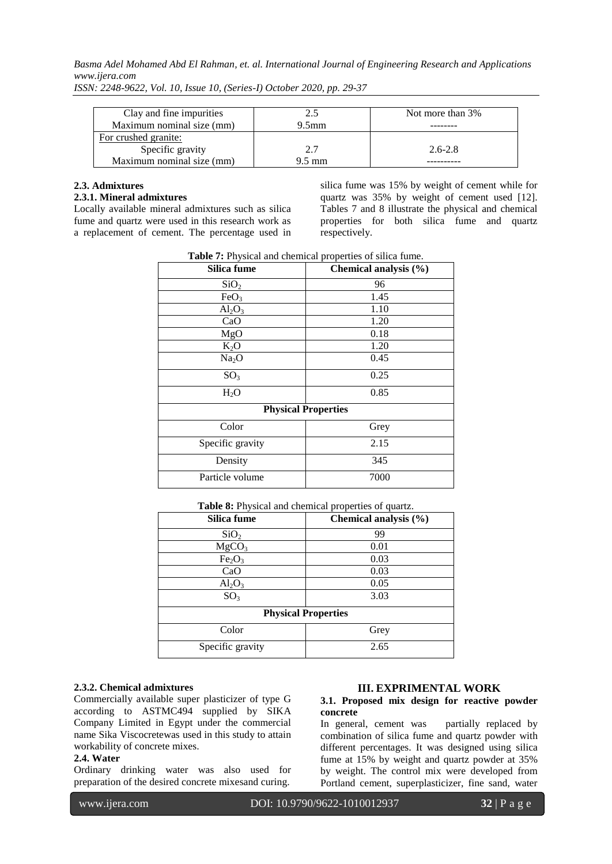| Clay and fine impurities  | 2.5               | Not more than 3% |
|---------------------------|-------------------|------------------|
| Maximum nominal size (mm) | 9.5 <sub>mm</sub> |                  |
| For crushed granite:      |                   |                  |
| Specific gravity          | 2.7               | $2.6 - 2.8$      |
| Maximum nominal size (mm) | $9.5 \text{ mm}$  |                  |

*ISSN: 2248-9622, Vol. 10, Issue 10, (Series-I) October 2020, pp. 29-37*

# **2.3. Admixtures**

# **2.3.1. Mineral admixtures**

Locally available mineral admixtures such as silica fume and quartz were used in this research work as a replacement of cement. The percentage used in silica fume was 15% by weight of cement while for quartz was 35% by weight of cement used [12]. Tables 7 and 8 illustrate the physical and chemical properties for both silica fume and quartz respectively.

| Silica fume       | Chemical analysis (%)      |
|-------------------|----------------------------|
| SiO <sub>2</sub>  | 96                         |
| FeO <sub>3</sub>  | 1.45                       |
| $Al_2O_3$         | 1.10                       |
| CaO               | 1.20                       |
| MgO               | 0.18                       |
| $K_2O$            | 1.20                       |
| Na <sub>2</sub> O | 0.45                       |
| SO <sub>3</sub>   | 0.25                       |
| $H_2O$            | 0.85                       |
|                   | <b>Physical Properties</b> |
| Color             | Grey                       |
| Specific gravity  | 2.15                       |
| Density           | 345                        |
| Particle volume   | 7000                       |

**Table 7:** Physical and chemical properties of silica fume.

| Table 8: Physical and chemical properties of quartz. |  |   |  |
|------------------------------------------------------|--|---|--|
|                                                      |  | . |  |

| Silica fume                    | Chemical analysis $(\% )$ |  |  |  |
|--------------------------------|---------------------------|--|--|--|
| SiO <sub>2</sub>               | 99                        |  |  |  |
| MgCO <sub>3</sub>              | 0.01                      |  |  |  |
| Fe <sub>2</sub> O <sub>3</sub> | 0.03                      |  |  |  |
| CaO                            | 0.03                      |  |  |  |
| $Al_2O_3$                      | 0.05                      |  |  |  |
| SO <sub>3</sub>                | 3.03                      |  |  |  |
| <b>Physical Properties</b>     |                           |  |  |  |
| Color                          | Grey                      |  |  |  |
| Specific gravity               | 2.65                      |  |  |  |

#### **2.3.2. Chemical admixtures**

Commercially available super plasticizer of type G according to ASTMC494 supplied by SIKA Company Limited in Egypt under the commercial name Sika Viscocretewas used in this study to attain workability of concrete mixes.

#### **2.4. Water**

Ordinary drinking water was also used for preparation of the desired concrete mixesand curing.

#### **III. EXPRIMENTAL WORK**

#### **3.1. Proposed mix design for reactive powder concrete**

In general, cement was partially replaced by combination of silica fume and quartz powder with different percentages. It was designed using silica fume at 15% by weight and quartz powder at 35% by weight. The control mix were developed from Portland cement, superplasticizer, fine sand, water

www.ijera.com DOI: 10.9790/9622-1010012937 **32** | P a g e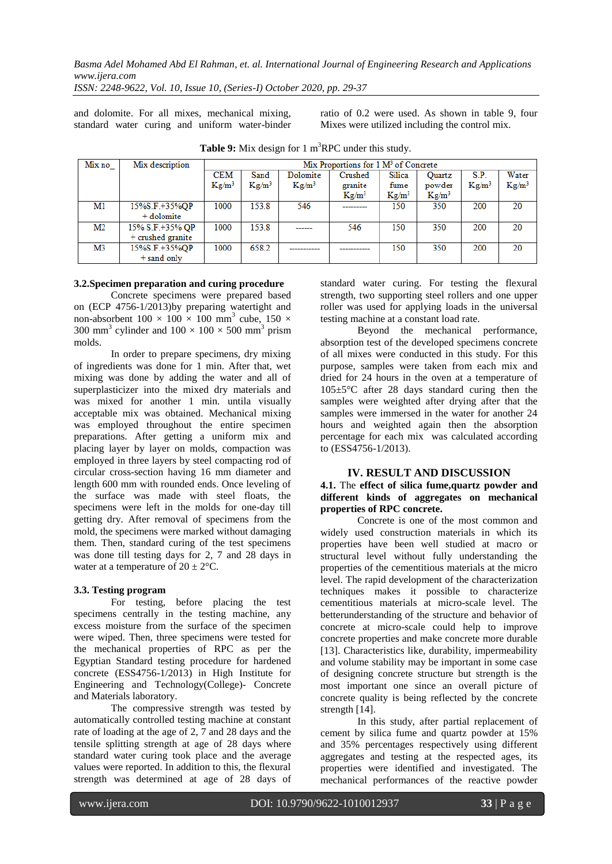*ISSN: 2248-9622, Vol. 10, Issue 10, (Series-I) October 2020, pp. 29-37*

and dolomite. For all mixes, mechanical mixing, standard water curing and uniform water-binder ratio of 0.2 were used. As shown in table 9, four Mixes were utilized including the control mix.

| Mix no | Mix description   | Mix Proportions for $1 \text{ M}^3$ of Concrete |          |          |              |          |               |          |          |
|--------|-------------------|-------------------------------------------------|----------|----------|--------------|----------|---------------|----------|----------|
|        |                   | CEM                                             | Sand     | Dolomite | Crushed      | Silica   | <b>Ouartz</b> | S.P.     | Water    |
|        |                   | $Kg/m^3$                                        | $Kg/m^3$ | $Kg/m^3$ | granite      | fume     | powder        | $Kg/m^3$ | $Kg/m^3$ |
|        |                   |                                                 |          |          | $Kg/m^3$     | $Kg/m^3$ | $Kg/m^3$      |          |          |
| M1     | 15%S.F.+35%OP     | 1000                                            | 153.8    | 546      | ------------ | 150      | 350           | 200      | 20       |
|        | + dolomite        |                                                 |          |          |              |          |               |          |          |
| M2     | 15% S.F.+35% QP   | 1000                                            | 153.8    | -------  | 546          | 150      | 350           | 200      | 20       |
|        | + crushed granite |                                                 |          |          |              |          |               |          |          |
| M3     | 15%S.F.+35%QP     | 1000                                            | 658.2    |          |              | 150      | 350           | 200      | 20       |
|        | $+$ sand only     |                                                 |          |          |              |          |               |          |          |

**Table 9:** Mix design for 1 m <sup>3</sup>RPC under this study.

#### **3.2.Specimen preparation and curing procedure**

Concrete specimens were prepared based on (ECP 4756-1/2013)by preparing watertight and non-absorbent  $100 \times 100 \times 100$  mm<sup>3</sup> cube,  $150 \times$ 300 mm<sup>3</sup> cylinder and  $100 \times 100 \times 500$  mm<sup>3</sup> prism molds.

In order to prepare specimens, dry mixing of ingredients was done for 1 min. After that, wet mixing was done by adding the water and all of superplasticizer into the mixed dry materials and was mixed for another 1 min. untila visually acceptable mix was obtained. Mechanical mixing was employed throughout the entire specimen preparations. After getting a uniform mix and placing layer by layer on molds, compaction was employed in three layers by steel compacting rod of circular cross-section having 16 mm diameter and length 600 mm with rounded ends. Once leveling of the surface was made with steel floats, the specimens were left in the molds for one-day till getting dry. After removal of specimens from the mold, the specimens were marked without damaging them. Then, standard curing of the test specimens was done till testing days for 2, 7 and 28 days in water at a temperature of  $20 \pm 2^{\circ}$ C.

# **3.3. Testing program**

For testing, before placing the test specimens centrally in the testing machine, any excess moisture from the surface of the specimen were wiped. Then, three specimens were tested for the mechanical properties of RPC as per the Egyptian Standard testing procedure for hardened concrete (ESS4756-1/2013) in High Institute for Engineering and Technology(College)- Concrete and Materials laboratory.

The compressive strength was tested by automatically controlled testing machine at constant rate of loading at the age of 2, 7 and 28 days and the tensile splitting strength at age of 28 days where standard water curing took place and the average values were reported. In addition to this, the flexural strength was determined at age of 28 days of standard water curing. For testing the flexural strength, two supporting steel rollers and one upper roller was used for applying loads in the universal testing machine at a constant load rate.

Beyond the mechanical performance, absorption test of the developed specimens concrete of all mixes were conducted in this study. For this purpose, samples were taken from each mix and dried for 24 hours in the oven at a temperature of 105±5°C after 28 days standard curing then the samples were weighted after drying after that the samples were immersed in the water for another 24 hours and weighted again then the absorption percentage for each mix was calculated according to (ESS4756-1/2013).

# **IV. RESULT AND DISCUSSION**

# **4.1.** The **effect of silica fume,quartz powder and different kinds of aggregates on mechanical properties of RPC concrete.**

Concrete is one of the most common and widely used construction materials in which its properties have been well studied at macro or structural level without fully understanding the properties of the cementitious materials at the micro level. The rapid development of the characterization techniques makes it possible to characterize cementitious materials at micro-scale level. The betterunderstanding of the structure and behavior of concrete at micro-scale could help to improve concrete properties and make concrete more durable [13]. Characteristics like, durability, impermeability and volume stability may be important in some case of designing concrete structure but strength is the most important one since an overall picture of concrete quality is being reflected by the concrete strength [14].

In this study, after partial replacement of cement by silica fume and quartz powder at 15% and 35% percentages respectively using different aggregates and testing at the respected ages, its properties were identified and investigated. The mechanical performances of the reactive powder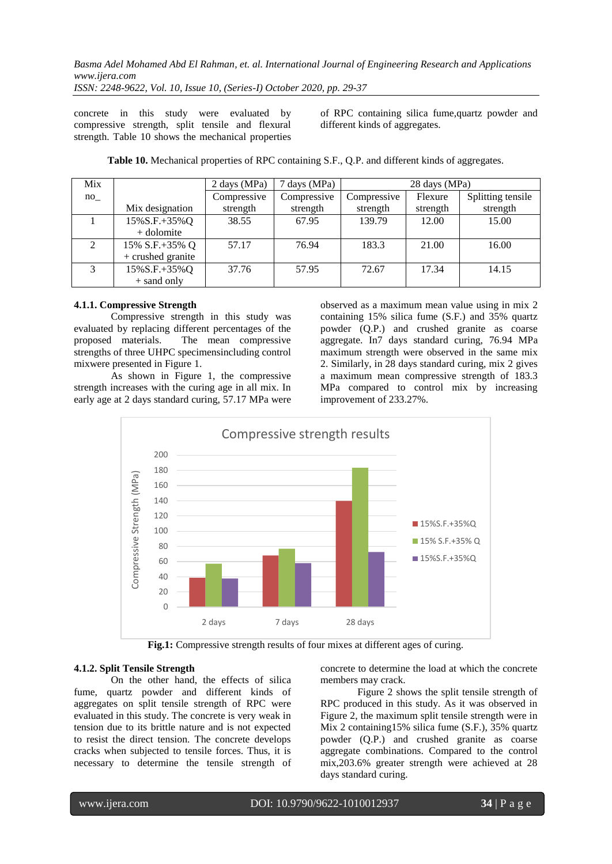*ISSN: 2248-9622, Vol. 10, Issue 10, (Series-I) October 2020, pp. 29-37*

concrete in this study were evaluated by compressive strength, split tensile and flexural strength. Table 10 shows the mechanical properties of RPC containing silica fume,quartz powder and different kinds of aggregates.

| Mix            |                    | 2 days (MPa) | 7 days (MPa) | 28 days (MPa) |          |                   |
|----------------|--------------------|--------------|--------------|---------------|----------|-------------------|
| no             |                    | Compressive  | Compressive  | Compressive   | Flexure  | Splitting tensile |
|                | Mix designation    | strength     | strength     | strength      | strength | strength          |
|                | $15\% S.F.+35\% Q$ | 38.55        | 67.95        | 139.79        | 12.00    | 15.00             |
|                | + dolomite         |              |              |               |          |                   |
| $\mathfrak{D}$ | 15% S.F.+35% Q     | 57.17        | 76.94        | 183.3         | 21.00    | 16.00             |
|                | + crushed granite  |              |              |               |          |                   |
| 3              | 15%S.F.+35%Q       | 37.76        | 57.95        | 72.67         | 17.34    | 14.15             |
|                | + sand only        |              |              |               |          |                   |

**Table 10.** Mechanical properties of RPC containing S.F., Q.P. and different kinds of aggregates.

#### **4.1.1. Compressive Strength**

Compressive strength in this study was evaluated by replacing different percentages of the proposed materials. The mean compressive strengths of three UHPC specimensincluding control mixwere presented in Figure 1.

As shown in Figure 1, the compressive strength increases with the curing age in all mix. In early age at 2 days standard curing, 57.17 MPa were observed as a maximum mean value using in mix 2 containing 15% silica fume (S.F.) and 35% quartz powder (Q.P.) and crushed granite as coarse aggregate. In7 days standard curing, 76.94 MPa maximum strength were observed in the same mix 2. Similarly, in 28 days standard curing, mix 2 gives a maximum mean compressive strength of 183.3 MPa compared to control mix by increasing improvement of 233.27%.



**Fig.1:** Compressive strength results of four mixes at different ages of curing.

# **4.1.2. Split Tensile Strength**

On the other hand, the effects of silica fume, quartz powder and different kinds of aggregates on split tensile strength of RPC were evaluated in this study. The concrete is very weak in tension due to its brittle nature and is not expected to resist the direct tension. The concrete develops cracks when subjected to tensile forces. Thus, it is necessary to determine the tensile strength of concrete to determine the load at which the concrete members may crack.

Figure 2 shows the split tensile strength of RPC produced in this study. As it was observed in Figure 2, the maximum split tensile strength were in Mix 2 containing15% silica fume (S.F.), 35% quartz powder (Q.P.) and crushed granite as coarse aggregate combinations. Compared to the control mix,203.6% greater strength were achieved at 28 days standard curing.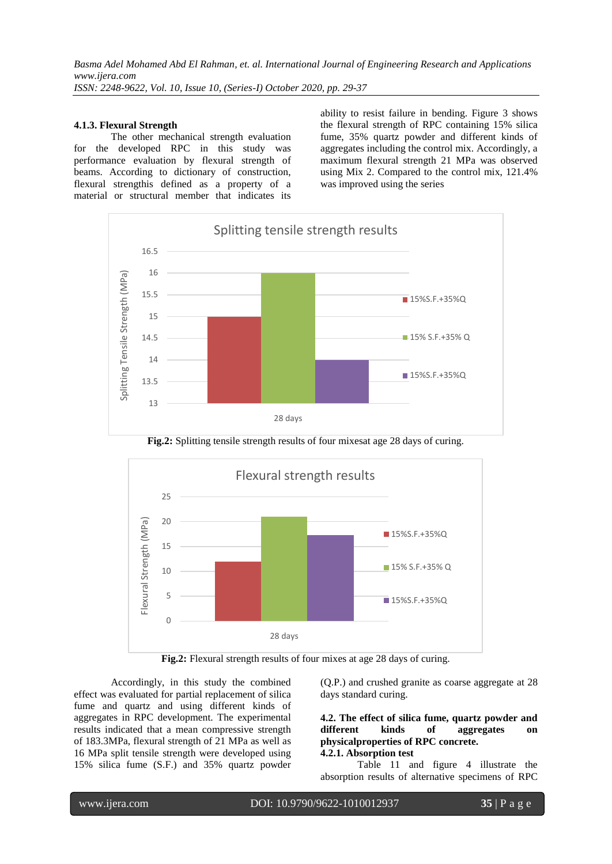*Basma Adel Mohamed Abd El Rahman, et. al. International Journal of Engineering Research and Applications www.ijera.com ISSN: 2248-9622, Vol. 10, Issue 10, (Series-I) October 2020, pp. 29-37*

#### **4.1.3. Flexural Strength**

The other mechanical strength evaluation for the developed RPC in this study was performance evaluation by flexural strength of beams. According to dictionary of construction, flexural strengthis defined as a property of a material or structural member that indicates its ability to resist failure in bending. Figure 3 shows the flexural strength of RPC containing 15% silica fume, 35% quartz powder and different kinds of aggregates including the control mix. Accordingly, a maximum flexural strength 21 MPa was observed using Mix 2. Compared to the control mix, 121.4% was improved using the series



**Fig.2:** Splitting tensile strength results of four mixesat age 28 days of curing.



**Fig.2:** Flexural strength results of four mixes at age 28 days of curing.

Accordingly, in this study the combined effect was evaluated for partial replacement of silica fume and quartz and using different kinds of aggregates in RPC development. The experimental results indicated that a mean compressive strength of 183.3MPa, flexural strength of 21 MPa as well as 16 MPa split tensile strength were developed using 15% silica fume (S.F.) and 35% quartz powder (Q.P.) and crushed granite as coarse aggregate at 28 days standard curing.

#### **4.2. The effect of silica fume, quartz powder and different kinds of aggregates on physicalproperties of RPC concrete. 4.2.1. Absorption test**

Table 11 and figure 4 illustrate the absorption results of alternative specimens of RPC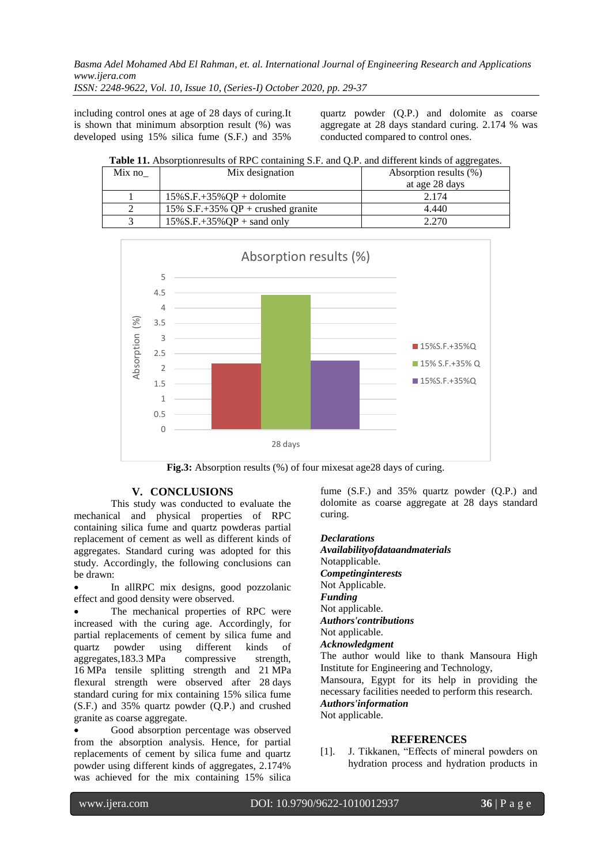*ISSN: 2248-9622, Vol. 10, Issue 10, (Series-I) October 2020, pp. 29-37*

including control ones at age of 28 days of curing.It is shown that minimum absorption result (%) was developed using 15% silica fume (S.F.) and 35%

quartz powder (Q.P.) and dolomite as coarse aggregate at 28 days standard curing. 2.174 % was conducted compared to control ones.

**Table 11.** Absorptionresults of RPC containing S.F. and Q.P. and different kinds of aggregates.

| Mix no | Mix designation                     | Absorption results (%) |
|--------|-------------------------------------|------------------------|
|        |                                     | at age 28 days         |
|        | $15\%$ S.F.+35%OP + dolomite        | 2.174                  |
|        | 15% S.F.+35% $QP$ + crushed granite | 4.440                  |
|        | $15\%$ S.F. $+35\%$ OP + sand only  | 2.270                  |



**Fig.3:** Absorption results (%) of four mixesat age28 days of curing.

# **V. CONCLUSIONS**

This study was conducted to evaluate the mechanical and physical properties of RPC containing silica fume and quartz powderas partial replacement of cement as well as different kinds of aggregates. Standard curing was adopted for this study. Accordingly, the following conclusions can be drawn:

 In allRPC mix designs, good pozzolanic effect and good density were observed.

 The mechanical properties of RPC were increased with the curing age. Accordingly, for partial replacements of cement by silica fume and quartz powder using different kinds of aggregates,183.3 MPa compressive strength, 16 MPa tensile splitting strength and 21 MPa flexural strength were observed after 28 days standard curing for mix containing 15% silica fume (S.F.) and 35% quartz powder (Q.P.) and crushed granite as coarse aggregate.

 Good absorption percentage was observed from the absorption analysis. Hence, for partial replacements of cement by silica fume and quartz powder using different kinds of aggregates, 2.174% was achieved for the mix containing 15% silica

fume (S.F.) and 35% quartz powder (Q.P.) and dolomite as coarse aggregate at 28 days standard curing.

*Declarations Availabilityofdataandmaterials* Notapplicable. *Competinginterests* Not Applicable. *Funding* Not applicable. *Authors'contributions* Not applicable. *Acknowledgment* The author would like to thank Mansoura High Institute for Engineering and Technology, Mansoura, Egypt for its help in providing the necessary facilities needed to perform this research. *Authors'information* Not applicable.

# **REFERENCES**

[1]. J. Tikkanen, "Effects of mineral powders on hydration process and hydration products in